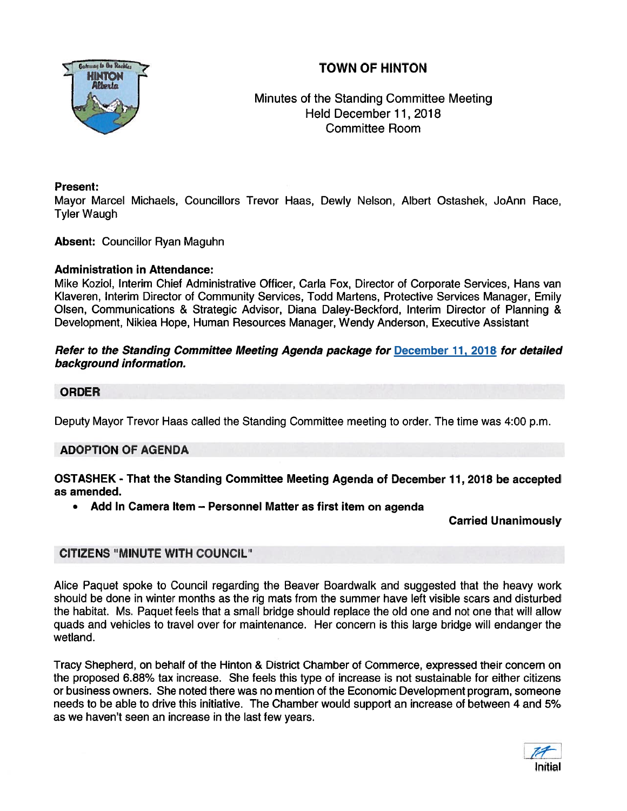# TOWN OF HINTON



## Minutes of the Standing Committee Meeting Held December 11, 2018 Committee Room

#### Present:

Mayor Marcel Michaels, Councillors Trevor Haas, Dewly Nelson, Albert Ostashek, JoAnn Race, Tyler Waugh

Absent: Councillor Ryan Maguhn

#### Administration in Attendance:

Mike Koziol, Interim Chief Administrative Officer, Carla Fox, Director of Corporate Services, Hans van Klaveren, Interim Director of Community Services, Todd Martens, Protective Services Manager, Emily Olsen, Communications & Strategic Advisor, Diana Daley-Beckford, Interim Director of Planning & Development, Nikiea Hope, Human Resources Manager, Wendy Anderson, Executive Assistant

#### Refer to the Standing Committee Meeting Agenda package for December 11, 2018 for detailed background information.

#### ORDER

Deputy Mayor Trevor Haas called the Standing Committee meeting to order. The time was 4:00 p.m.

## ADOPTION OF AGENDA

#### OSTASHEK - That the Standing Committee Meeting Agenda of December 11, 2018 be accepted as amended.

•Add In Camera Item — Personnel Matter as first item on agenda

Carried Unanimously

## CITIZENS "MINUTE WITH COUNCIL"

Alice Paquet spoke to Council regarding the Beaver Boardwalk and suggested that the heavy work should be done in winter months as the rig mats from the summer have left visible scars and disturbed the habitat. Ms. Paquet feels that <sup>a</sup> small bridge should replace the old one and not one that will allow quads and vehicles to travel over for maintenance. Her concern is this large bridge will endanger the wetland.

Tracy Shepherd, on behalf of the Hinton & District Chamber of Commerce, expressed their concern on the proposed 6.88% tax increase. She feels this type of increase is not sustainable for either citizens or business owners. She noted there was no mention of the Economic Development program, someone needs to be able to drive this initiative. The Chamber would suppor<sup>t</sup> an increase of between 4 and 5% as we haven't seen an increase in the last few years.

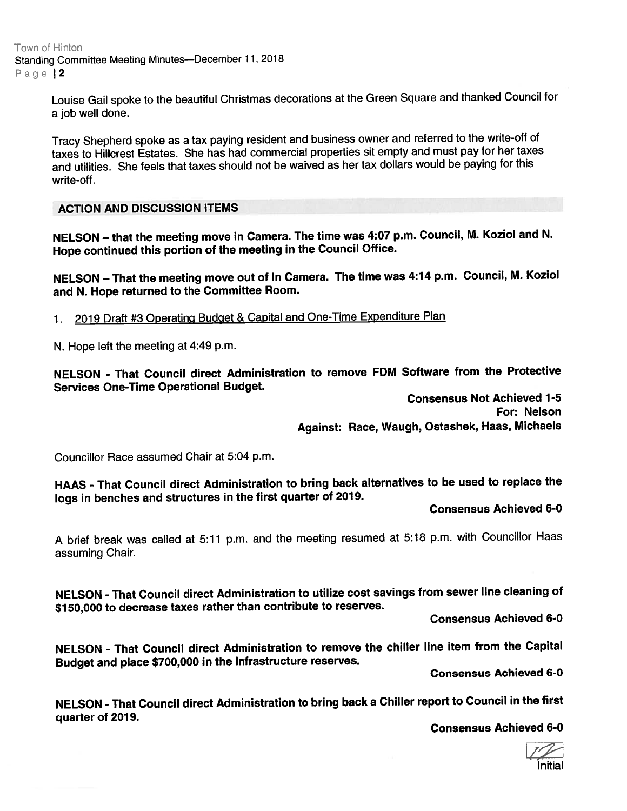Town of Hinton Standing Committee Meeting Minutes—December 11, <sup>2018</sup> Page 12

> Louise Gail spoke to the beautiful Christmas decorations at the Green Square and thanked Council for <sup>a</sup> job well done.

Tracy Shepherd spoke as <sup>a</sup> tax paying resident and business owner and referred to the write-off of taxes to Hillcrest Estates. She has had commercial properties sit empty and must pay for her taxes and utilities. She feels that taxes should not be waived as her tax dollars would be paying for this write-off.

ACTION AND DISCUSSION ITEMS

NELSON — that the meeting move in Camera. The time was 4:07 p.m. Council, M. Koziol and N. Hope continued this portion of the meeting in the Council Office.

NELSON - That the meeting move out of In Camera. The time was 4:14 p.m. Council, M. Koziol and N. Hope returned to the Committee Room.

1. <sup>2019</sup> Draft #3 Operating Budget & Capital and One-Time Expenditure Plan

N. Hope left the meeting at 4:49 p.m.

NELSON - That Council direct Administration to remove FDM Software from the Protective Services One-Time Operational Budget.

> Consensus Not Achieved 1-5 For: Nelson Against: Race, Waugh, Ostashek, Haas, Michaels

Councillor Race assumed Chair at 5:04 p.m.

HAAS - That Council direct Administration to bring back alternatives to be used to replace the logs in benches and structures in the first quarter of 2019.

Consensus Achieved 6-0

<sup>A</sup> brief break was called at 5:11 p.m. and the meeting resumed at 5:18 p.m. with Councillor Haas assuming Chair.

NELSON - That Council direct Administration to utilize cost savings from sewer line cleaning of \$750,000 to decrease taxes rather than contribute to reserves.

Consensus Achieved 6-0

NELSON - That Council direct Administration to remove the chiller line item from the Capital Budget and <sup>p</sup>lace \$700,000 in the Infrastructure reserves.

Consensus Achieved 6-0

NELSON - That Council direct Administration to bring back <sup>a</sup> Chiller repor<sup>t</sup> to Council in the first quarter of 2019.

Consensus Achieved 6-0

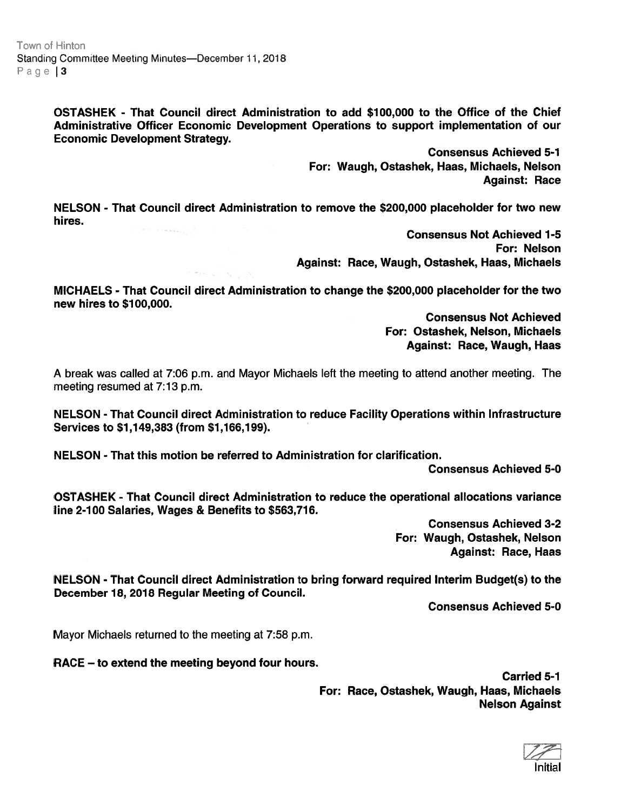OSTASHEK - That Council direct Administration to add \$100,000 to the Office of the Chief Administrative Officer Economic Development Operations to suppor<sup>t</sup> implementation of our Economic Development Strategy.

> Consensus Achieved 5-1 For: Waugh, Ostashek, Haas, Michaels, Nelson Against: Race

NELSON - That Council direct Administration to remove the \$200,000 placeholder for two new hires.

> Consensus Not Achieved 1-5 For: Nelson Against: Race, Waugh, Ostashek, Haas, Michaels

MICHAELS - That Council direct Administration to change the \$200,000 placeholder for the two new hires to \$700,000.

> Consensus Not Achieved For: Ostashek, Nelson, Michaels Against: Race, Waugh, Haas

A break was called at 7:06 p.m. and Mayor Michaels left the meeting to attend another meeting. The meeting resumed at 7:13 p.m.

NELSON - That Council direct Administration to reduce Facility Operations within Infrastructure Services to \$1,149,383 (from \$1,166,199).

NELSON - That this motion be referred to Administration for clarification.

Consensus Achieved 5-0

OSTASHEK - That Council direct Administration to reduce the operational allocations variance line 2-100 Salaries, Wages & Benefits to \$563,716.

> Consensus Achieved 3-2 For: Waugh, Ostashek, Nelson Against: Race, Haas

NELSON - That Council direct Administration to bring forward required Interim Budget(s) to the December 18, 2018 Regular Meeting of Council.

Consensus Achieved 5-0

Mayor Michaels returned to the meeting at 7:58 p.m.

RACE — to extend the meeting beyond four hours.

Carried 5-1 For: Race, Ostashek, Waugh, Haas, Michaels Nelson Against